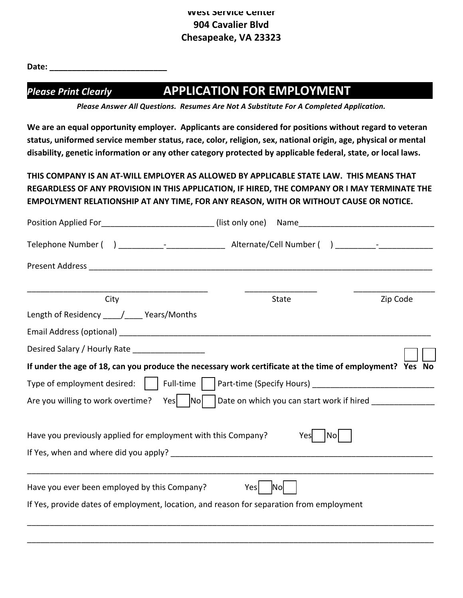Date:

# *Please Print Clearly*  **APPLICATION FOR EMPLOYMENT \_\_\_**

Please Answer All Questions. Resumes Are Not A Substitute For A Completed Application.

We are an equal opportunity employer. Applicants are considered for positions without regard to veteran status, uniformed service member status, race, color, religion, sex, national origin, age, physical or mental disability, genetic information or any other category protected by applicable federal, state, or local laws.

THIS COMPANY IS AN AT-WILL EMPLOYER AS ALLOWED BY APPLICABLE STATE LAW. THIS MEANS THAT REGARDLESS OF ANY PROVISION IN THIS APPLICATION, IF HIRED, THE COMPANY OR I MAY TERMINATE THE **EMPOLYMENT RELATIONSHIP AT ANY TIME, FOR ANY REASON, WITH OR WITHOUT CAUSE OR NOTICE.** 

| Position Applied For_______________________________ (list only one)                                                 |                                                           |                                          |
|---------------------------------------------------------------------------------------------------------------------|-----------------------------------------------------------|------------------------------------------|
|                                                                                                                     |                                                           | ) and the set of $\sim$ -contract $\sim$ |
| Present Address and the contract of the contract of the contract of the contract of the contract of the contract of |                                                           |                                          |
| City                                                                                                                | State                                                     | Zip Code                                 |
| Length of Residency _____/_____ Years/Months                                                                        |                                                           |                                          |
|                                                                                                                     |                                                           |                                          |
| Desired Salary / Hourly Rate _________________                                                                      |                                                           |                                          |
| If under the age of 18, can you produce the necessary work certificate at the time of employment? Yes No            |                                                           |                                          |
| Type of employment desired:     Full-time                                                                           |                                                           |                                          |
| No<br>Are you willing to work overtime?<br>Yes                                                                      | Date on which you can start work if hired _______________ |                                          |
| Have you previously applied for employment with this Company?                                                       | No <br>Yes                                                |                                          |
|                                                                                                                     |                                                           |                                          |
| Have you ever been employed by this Company?                                                                        | Nol<br>Yesl                                               |                                          |
| If Yes, provide dates of employment, location, and reason for separation from employment                            |                                                           |                                          |
|                                                                                                                     |                                                           |                                          |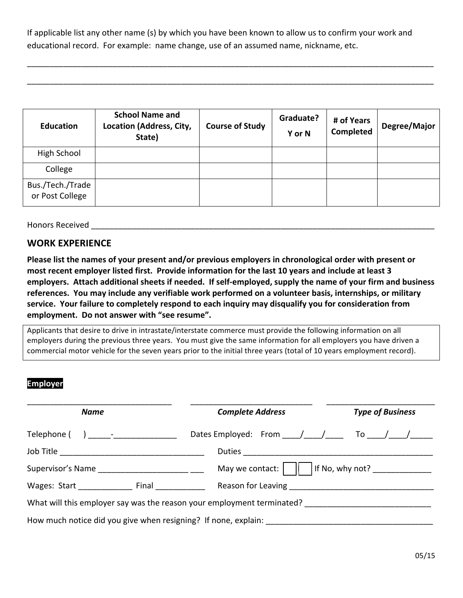If applicable list any other name (s) by which you have been known to allow us to confirm your work and educational record. For example: name change, use of an assumed name, nickname, etc.

\_\_\_\_\_\_\_\_\_\_\_\_\_\_\_\_\_\_\_\_\_\_\_\_\_\_\_\_\_\_\_\_\_\_\_\_\_\_\_\_\_\_\_\_\_\_\_\_\_\_\_\_\_\_\_\_\_\_\_\_\_\_\_\_\_\_\_\_\_\_\_\_\_\_\_\_\_\_\_\_\_\_\_\_\_\_\_\_\_\_

\_\_\_\_\_\_\_\_\_\_\_\_\_\_\_\_\_\_\_\_\_\_\_\_\_\_\_\_\_\_\_\_\_\_\_\_\_\_\_\_\_\_\_\_\_\_\_\_\_\_\_\_\_\_\_\_\_\_\_\_\_\_\_\_\_\_\_\_\_\_\_\_\_\_\_\_\_\_\_\_\_\_\_\_\_\_\_\_\_\_

| <b>Education</b>                    | <b>School Name and</b><br>Location (Address, City,<br>State) | <b>Course of Study</b> | Graduate?<br>Y or N | # of Years<br>Completed | Degree/Major |
|-------------------------------------|--------------------------------------------------------------|------------------------|---------------------|-------------------------|--------------|
| High School                         |                                                              |                        |                     |                         |              |
| College                             |                                                              |                        |                     |                         |              |
| Bus./Tech./Trade<br>or Post College |                                                              |                        |                     |                         |              |

Honors Received **Latter and Secure 2018** 

#### **WORK EXPERIENCE**

Please list the names of your present and/or previous employers in chronological order with present or most recent employer listed first. Provide information for the last 10 years and include at least 3 employers. Attach additional sheets if needed. If self-employed, supply the name of your firm and business references. You may include any verifiable work performed on a volunteer basis, internships, or military service. Your failure to completely respond to each inquiry may disqualify you for consideration from employment. Do not answer with "see resume".

Applicants that desire to drive in intrastate/interstate commerce must provide the following information on all employers during the previous three years. You must give the same information for all employers you have driven a commercial motor vehicle for the seven years prior to the initial three years (total of 10 years employment record).

#### **Employer**

| <b>Name</b>                                                            |  | <b>Complete Address</b> | <b>Type of Business</b>                                                                   |  |
|------------------------------------------------------------------------|--|-------------------------|-------------------------------------------------------------------------------------------|--|
|                                                                        |  |                         |                                                                                           |  |
|                                                                        |  |                         | Dates Employed: From $\frac{1}{\sqrt{1-\frac{1}{2}}}$ To $\frac{1}{\sqrt{1-\frac{1}{2}}}$ |  |
|                                                                        |  |                         |                                                                                           |  |
| Supervisor's Name                                                      |  | May we contact:         | If No, why not? _______________                                                           |  |
| Wages: Start Final                                                     |  |                         |                                                                                           |  |
| What will this employer say was the reason your employment terminated? |  |                         |                                                                                           |  |
| How much notice did you give when resigning? If none, explain:         |  |                         |                                                                                           |  |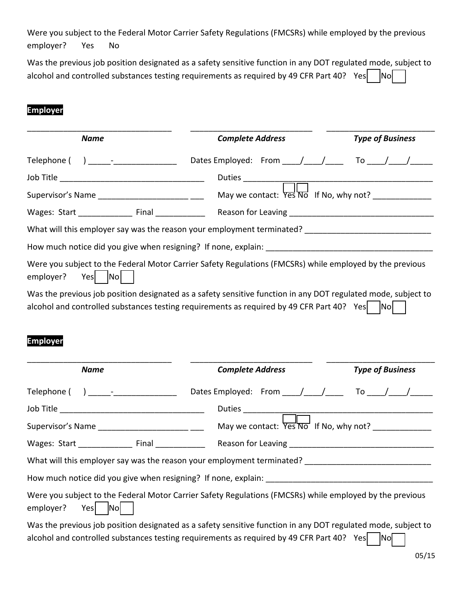Were you subject to the Federal Motor Carrier Safety Regulations (FMCSRs) while employed by the previous employer? Yes No

Was the previous job position designated as a safety sensitive function in any DOT regulated mode, subject to alcohol and controlled substances testing requirements as required by 49 CFR Part 40? Yes  $\Box$  No

## **Employer**

| <b>Name</b>          | <b>Complete Address</b>                                                                                                                                                                                         | <b>Type of Business</b> |
|----------------------|-----------------------------------------------------------------------------------------------------------------------------------------------------------------------------------------------------------------|-------------------------|
|                      |                                                                                                                                                                                                                 |                         |
|                      |                                                                                                                                                                                                                 |                         |
|                      | May we contact: Yes No If No, why not? ____________                                                                                                                                                             |                         |
|                      |                                                                                                                                                                                                                 |                         |
|                      | What will this employer say was the reason your employment terminated? _____________________________                                                                                                            |                         |
|                      |                                                                                                                                                                                                                 |                         |
| Yes No<br>employer?  | Were you subject to the Federal Motor Carrier Safety Regulations (FMCSRs) while employed by the previous                                                                                                        |                         |
|                      | Was the previous job position designated as a safety sensitive function in any DOT regulated mode, subject to<br>alcohol and controlled substances testing requirements as required by 49 CFR Part 40? Yes   No |                         |
| <b>Employer</b>      |                                                                                                                                                                                                                 |                         |
| <b>Name</b>          | <b>Complete Address</b>                                                                                                                                                                                         | <b>Type of Business</b> |
|                      |                                                                                                                                                                                                                 |                         |
|                      |                                                                                                                                                                                                                 |                         |
|                      | May we contact: Yes'No If No, why not? ____________                                                                                                                                                             |                         |
|                      |                                                                                                                                                                                                                 |                         |
|                      | What will this employer say was the reason your employment terminated? ____                                                                                                                                     |                         |
|                      | How much notice did you give when resigning? If none, explain:                                                                                                                                                  |                         |
| Yes Nol<br>employer? | Were you subject to the Federal Motor Carrier Safety Regulations (FMCSRs) while employed by the previous                                                                                                        |                         |
|                      | Was the previous job position designated as a safety sensitive function in any DOT regulated mode, subject to                                                                                                   |                         |

alcohol and controlled substances testing requirements as required by 49 CFR Part 40? Yes  $\nabla$  No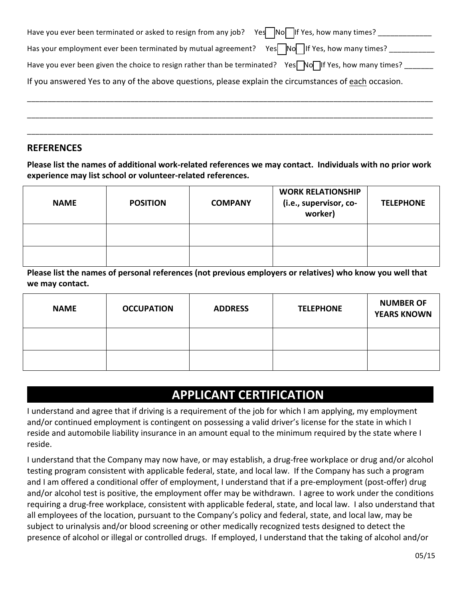| Have you ever been terminated or asked to resign from any job? Yes $\sqrt{N}$   No $\sqrt{N}$   If Yes, how many times? |
|-------------------------------------------------------------------------------------------------------------------------|
| Has your employment ever been terminated by mutual agreement? Yes No If Yes, how many times?                            |
| Have you ever been given the choice to resign rather than be terminated? Yes No IIf Yes, how many times?                |
| If you answered Yes to any of the above questions, please explain the circumstances of each occasion.                   |
|                                                                                                                         |

\_\_\_\_\_\_\_\_\_\_\_\_\_\_\_\_\_\_\_\_\_\_\_\_\_\_\_\_\_\_\_\_\_\_\_\_\_\_\_\_\_\_\_\_\_\_\_\_\_\_\_\_\_\_\_\_\_\_\_\_\_\_\_\_\_\_\_\_\_\_\_\_\_\_\_\_\_\_\_\_\_\_\_\_\_\_\_\_\_\_\_\_\_\_\_\_\_\_

\_\_\_\_\_\_\_\_\_\_\_\_\_\_\_\_\_\_\_\_\_\_\_\_\_\_\_\_\_\_\_\_\_\_\_\_\_\_\_\_\_\_\_\_\_\_\_\_\_\_\_\_\_\_\_\_\_\_\_\_\_\_\_\_\_\_\_\_\_\_\_\_\_\_\_\_\_\_\_\_\_\_\_\_\_\_\_\_\_\_\_\_\_\_\_\_\_\_

### **REFERENCES**

Please list the names of additional work-related references we may contact. Individuals with no prior work experience may list school or volunteer-related references.

| <b>NAME</b> | <b>POSITION</b> | <b>COMPANY</b> | <b>WORK RELATIONSHIP</b><br>(i.e., supervisor, co-<br>worker) | <b>TELEPHONE</b> |
|-------------|-----------------|----------------|---------------------------------------------------------------|------------------|
|             |                 |                |                                                               |                  |
|             |                 |                |                                                               |                  |

Please list the names of personal references (not previous employers or relatives) who know you well that we may contact.

| <b>NAME</b> | <b>OCCUPATION</b> | <b>ADDRESS</b> | <b>TELEPHONE</b> | <b>NUMBER OF</b><br><b>YEARS KNOWN</b> |
|-------------|-------------------|----------------|------------------|----------------------------------------|
|             |                   |                |                  |                                        |
|             |                   |                |                  |                                        |

# **APPLICANT CERTIFICATION**

I understand and agree that if driving is a requirement of the job for which I am applying, my employment and/or continued employment is contingent on possessing a valid driver's license for the state in which I reside and automobile liability insurance in an amount equal to the minimum required by the state where I reside.

I understand that the Company may now have, or may establish, a drug-free workplace or drug and/or alcohol testing program consistent with applicable federal, state, and local law. If the Company has such a program and I am offered a conditional offer of employment, I understand that if a pre-employment (post-offer) drug and/or alcohol test is positive, the employment offer may be withdrawn. I agree to work under the conditions requiring a drug-free workplace, consistent with applicable federal, state, and local law. I also understand that all employees of the location, pursuant to the Company's policy and federal, state, and local law, may be subject to urinalysis and/or blood screening or other medically recognized tests designed to detect the presence of alcohol or illegal or controlled drugs. If employed, I understand that the taking of alcohol and/or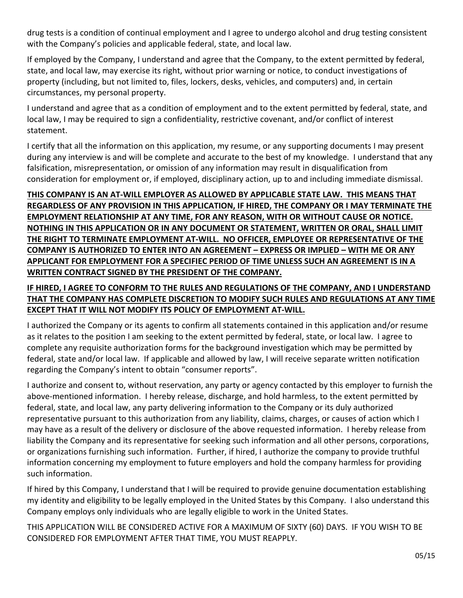drug tests is a condition of continual employment and I agree to undergo alcohol and drug testing consistent with the Company's policies and applicable federal, state, and local law.

If employed by the Company, I understand and agree that the Company, to the extent permitted by federal, state, and local law, may exercise its right, without prior warning or notice, to conduct investigations of property (including, but not limited to, files, lockers, desks, vehicles, and computers) and, in certain circumstances, my personal property.

I understand and agree that as a condition of employment and to the extent permitted by federal, state, and local law, I may be required to sign a confidentiality, restrictive covenant, and/or conflict of interest statement.

I certify that all the information on this application, my resume, or any supporting documents I may present during any interview is and will be complete and accurate to the best of my knowledge. I understand that any falsification, misrepresentation, or omission of any information may result in disqualification from consideration for employment or, if employed, disciplinary action, up to and including immediate dismissal.

## THIS COMPANY IS AN AT-WILL EMPLOYER AS ALLOWED BY APPLICABLE STATE LAW. THIS MEANS THAT REGARDLESS OF ANY PROVISION IN THIS APPLICATION, IF HIRED, THE COMPANY OR I MAY TERMINATE THE **EMPLOYMENT RELATIONSHIP AT ANY TIME, FOR ANY REASON, WITH OR WITHOUT CAUSE OR NOTICE. NOTHING IN THIS APPLICATION OR IN ANY DOCUMENT OR STATEMENT, WRITTEN OR ORAL, SHALL LIMIT** THE RIGHT TO TERMINATE EMPLOYMENT AT-WILL. NO OFFICER, EMPLOYEE OR REPRESENTATIVE OF THE **COMPANY IS AUTHORIZED TO ENTER INTO AN AGREEMENT – EXPRESS OR IMPLIED – WITH ME OR ANY** APPLICANT FOR EMPLOYMENT FOR A SPECIFIEC PERIOD OF TIME UNLESS SUCH AN AGREEMENT IS IN A WRITTEN CONTRACT SIGNED BY THE PRESIDENT OF THE COMPANY.

### IF HIRED, I AGREE TO CONFORM TO THE RULES AND REGULATIONS OF THE COMPANY, AND I UNDERSTAND THAT THE COMPANY HAS COMPLETE DISCRETION TO MODIFY SUCH RULES AND REGULATIONS AT ANY TIME **EXCEPT THAT IT WILL NOT MODIFY ITS POLICY OF EMPLOYMENT AT-WILL.**

I authorized the Company or its agents to confirm all statements contained in this application and/or resume as it relates to the position I am seeking to the extent permitted by federal, state, or local law. I agree to complete any requisite authorization forms for the background investigation which may be permitted by federal, state and/or local law. If applicable and allowed by law, I will receive separate written notification regarding the Company's intent to obtain "consumer reports".

I authorize and consent to, without reservation, any party or agency contacted by this employer to furnish the above-mentioned information. I hereby release, discharge, and hold harmless, to the extent permitted by federal, state, and local law, any party delivering information to the Company or its duly authorized representative pursuant to this authorization from any liability, claims, charges, or causes of action which I may have as a result of the delivery or disclosure of the above requested information. I hereby release from liability the Company and its representative for seeking such information and all other persons, corporations, or organizations furnishing such information. Further, if hired, I authorize the company to provide truthful information concerning my employment to future employers and hold the company harmless for providing such information.

If hired by this Company, I understand that I will be required to provide genuine documentation establishing my identity and eligibility to be legally employed in the United States by this Company. I also understand this Company employs only individuals who are legally eligible to work in the United States.

THIS APPLICATION WILL BE CONSIDERED ACTIVE FOR A MAXIMUM OF SIXTY (60) DAYS. IF YOU WISH TO BE CONSIDERED FOR EMPLOYMENT AFTER THAT TIME, YOU MUST REAPPLY.